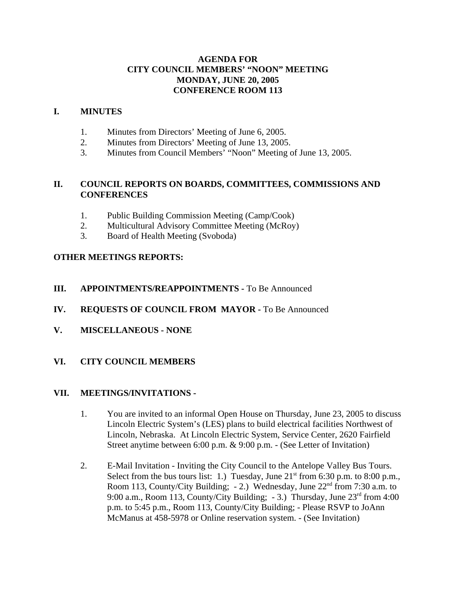# **AGENDA FOR CITY COUNCIL MEMBERS' "NOON" MEETING MONDAY, JUNE 20, 2005 CONFERENCE ROOM 113**

## **I. MINUTES**

- 1. Minutes from Directors' Meeting of June 6, 2005.
- 2. Minutes from Directors' Meeting of June 13, 2005.
- 3. Minutes from Council Members' "Noon" Meeting of June 13, 2005.

# **II. COUNCIL REPORTS ON BOARDS, COMMITTEES, COMMISSIONS AND CONFERENCES**

- 1. Public Building Commission Meeting (Camp/Cook)
- 2. Multicultural Advisory Committee Meeting (McRoy)
- 3. Board of Health Meeting (Svoboda)

# **OTHER MEETINGS REPORTS:**

- **III.** APPOINTMENTS/REAPPOINTMENTS To Be Announced
- **IV. REQUESTS OF COUNCIL FROM MAYOR -** To Be Announced
- **V. MISCELLANEOUS NONE**

### **VI. CITY COUNCIL MEMBERS**

### **VII. MEETINGS/INVITATIONS -**

- 1. You are invited to an informal Open House on Thursday, June 23, 2005 to discuss Lincoln Electric System's (LES) plans to build electrical facilities Northwest of Lincoln, Nebraska. At Lincoln Electric System, Service Center, 2620 Fairfield Street anytime between 6:00 p.m. & 9:00 p.m. - (See Letter of Invitation)
- 2. E-Mail Invitation Inviting the City Council to the Antelope Valley Bus Tours. Select from the bus tours list: 1.) Tuesday, June  $21<sup>st</sup>$  from 6:30 p.m. to 8:00 p.m., Room 113, County/City Building; - 2.) Wednesday, June 22<sup>nd</sup> from 7:30 a.m. to 9:00 a.m., Room 113, County/City Building; - 3.) Thursday, June 23rd from 4:00 p.m. to 5:45 p.m., Room 113, County/City Building; - Please RSVP to JoAnn McManus at 458-5978 or Online reservation system. - (See Invitation)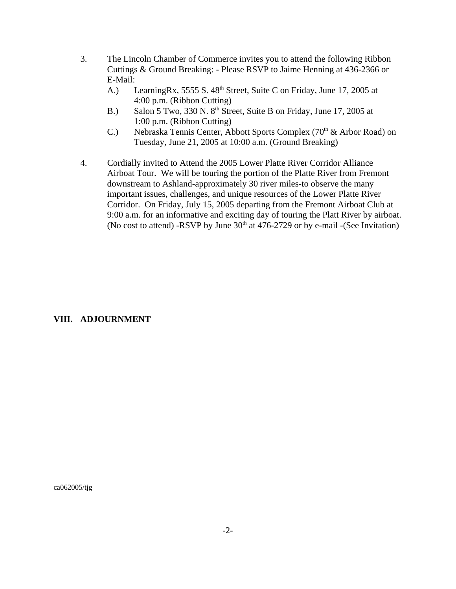- 3. The Lincoln Chamber of Commerce invites you to attend the following Ribbon Cuttings & Ground Breaking: - Please RSVP to Jaime Henning at 436-2366 or E-Mail:
	- A.) LearningRx, 5555 S. 48<sup>th</sup> Street, Suite C on Friday, June 17, 2005 at 4:00 p.m. (Ribbon Cutting)
	- B.) Salon 5 Two, 330 N. 8<sup>th</sup> Street, Suite B on Friday, June 17, 2005 at 1:00 p.m. (Ribbon Cutting)
	- C.) Nebraska Tennis Center, Abbott Sports Complex ( $70<sup>th</sup>$  & Arbor Road) on Tuesday, June 21, 2005 at 10:00 a.m. (Ground Breaking)
- 4. Cordially invited to Attend the 2005 Lower Platte River Corridor Alliance Airboat Tour. We will be touring the portion of the Platte River from Fremont downstream to Ashland-approximately 30 river miles-to observe the many important issues, challenges, and unique resources of the Lower Platte River Corridor. On Friday, July 15, 2005 departing from the Fremont Airboat Club at 9:00 a.m. for an informative and exciting day of touring the Platt River by airboat. (No cost to attend) -RSVP by June  $30<sup>th</sup>$  at 476-2729 or by e-mail -(See Invitation)

### **VIII. ADJOURNMENT**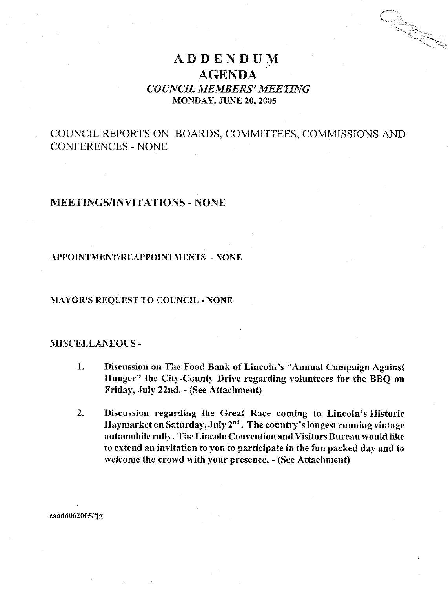# **ADDENDUM AGENDA COUNCIL MEMBERS' MEETING MONDAY, JUNE 20, 2005**

# COUNCIL REPORTS ON BOARDS, COMMITTEES, COMMISSIONS AND **CONFERENCES - NONE**

# **MEETINGS/INVITATIONS - NONE**

#### **APPOINTMENT/REAPPOINTMENTS - NONE**

#### **MAYOR'S REQUEST TO COUNCIL - NONE**

#### **MISCELLANEOUS -**

- Discussion on The Food Bank of Lincoln's "Annual Campaign Against"  $\mathbf{1}$ . Hunger" the City-County Drive regarding volunteers for the BBO on Friday, July 22nd. - (See Attachment)
- $2.$ Discussion regarding the Great Race coming to Lincoln's Historic Haymarket on Saturday, July 2<sup>nd</sup>. The country's longest running vintage automobile rally. The Lincoln Convention and Visitors Bureau would like to extend an invitation to you to participate in the fun packed day and to welcome the crowd with your presence. - (See Attachment)

caadd062005/tjg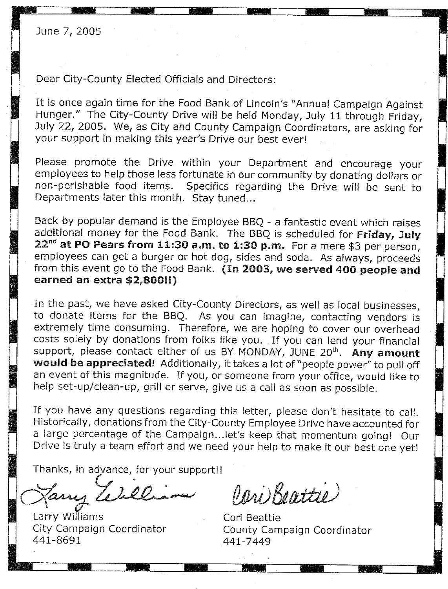June 7, 2005

Dear City-County Elected Officials and Directors:

It is once again time for the Food Bank of Lincoln's "Annual Campaign Against Hunger." The City-County Drive will be held Monday, July 11 through Friday, July 22, 2005. We, as City and County Campaign Coordinators, are asking for your support in making this year's Drive our best ever!

Please promote the Drive within your Department and encourage your employees to help those less fortunate in our community by donating dollars or Specifics regarding the Drive will be sent to non-perishable food items. Departments later this month. Stay tuned...

Back by popular demand is the Employee BBQ - a fantastic event which raises additional money for the Food Bank. The BBQ is scheduled for Friday, July  $22<sup>nd</sup>$  at PO Pears from 11:30 a.m. to 1:30 p.m. For a mere \$3 per person, employees can get a burger or hot dog, sides and soda. As always, proceeds from this event go to the Food Bank. (In 2003, we served 400 people and earned an extra \$2,800!!)

In the past, we have asked City-County Directors, as well as local businesses, to donate items for the BBQ. As you can imagine, contacting vendors is extremely time consuming. Therefore, we are hoping to cover our overhead costs solely by donations from folks like you. If you can lend your financial support, please contact either of us BY MONDAY, JUNE 20<sup>th</sup>. Any amount would be appreciated! Additionally, it takes a lot of "people power" to pull off an event of this magnitude. If you, or someone from your office, would like to help set-up/clean-up, grill or serve, give us a call as soon as possible.

If you have any questions regarding this letter, please don't hesitate to call. Historically, donations from the City-County Employee Drive have accounted for a large percentage of the Campaign... let's keep that momentum going! Our Drive is truly a team effort and we need your help to make it our best one yet!

Thanks, in advance, for your support!!

7, 200. any.

Larry Williams City Campaign Coordinator 441-8691

Pari Beattie

Cori Beattie County Campaign Coordinator 441-7449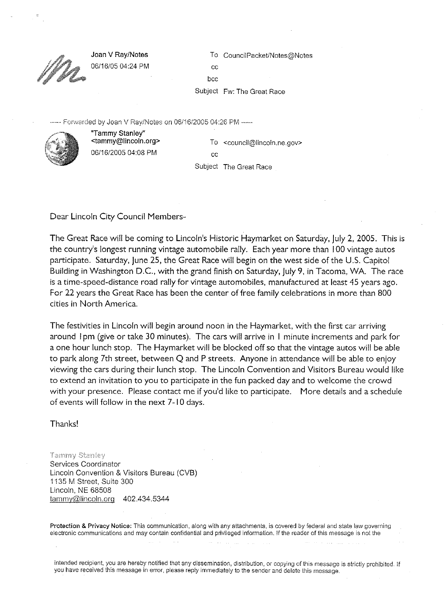Joan V Ray/Notes 06/16/05 04:24 PM To CouncilPacket/Notes@Notes

 $cc$ bcc

Subject Fw: The Great Race

Forwarded by Joan V Rav/Notes on 06/16/2005 04:26 PM -----



"Tammy Stanley" <tammy@lincoln.org> 06/16/2005 04:08 PM

To <council@lincoln.ne.gov>  $\alpha$ 

Subject The Great Race

Dear Lincoln City Council Members-

The Great Race will be coming to Lincoln's Historic Haymarket on Saturday, July 2, 2005. This is the country's longest running vintage automobile rally. Each year more than 100 vintage autos participate. Saturday, June 25, the Great Race will begin on the west side of the U.S. Capitol Building in Washington D.C., with the grand finish on Saturday, July 9, in Tacoma, WA. The race is a time-speed-distance road rally for vintage automobiles, manufactured at least 45 years ago. For 22 years the Great Race has been the center of free family celebrations in more than 800 cities in North America.

The festivities in Lincoln will begin around noon in the Haymarket, with the first car arriving around 1pm (give or take 30 minutes). The cars will arrive in 1 minute increments and park for a one hour lunch stop. The Haymarket will be blocked off so that the vintage autos will be able to park along 7th street, between Q and P streets. Anyone in attendance will be able to enjoy viewing the cars during their lunch stop. The Lincoln Convention and Visitors Bureau would like to extend an invitation to you to participate in the fun packed day and to welcome the crowd with your presence. Please contact me if you'd like to participate. More details and a schedule of events will follow in the next 7-10 days.

Thanks!

Tammy Stanley Services Coordinator Lincoln Convention & Visitors Bureau (CVB) 1135 M Street, Suite 300 Lincoln, NE 68508 tammy@lincoln.org 402.434.5344

Protection & Privacy Notice: This communication, along with any attachments, is covered by federal and state law governing electronic communications and may contain confidential and privileged information. If the reader of this message is not the

intended recipient, you are hereby notified that any dissemination, distribution, or copying of this message is strictly prohibited. If you have received this message in error, please reply immediately to the sender and delete this message.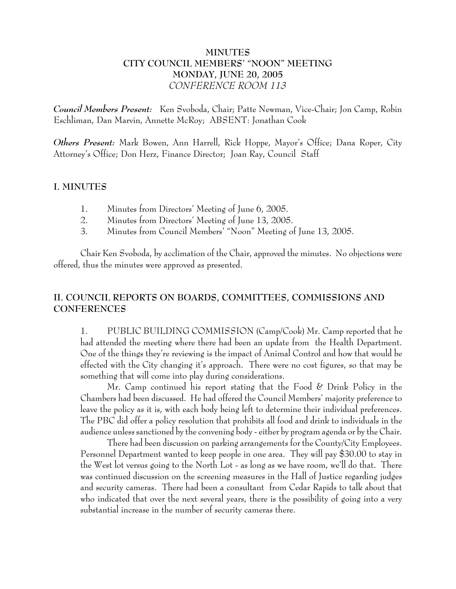# **MINUTES CITY COUNCIL MEMBERS' "NOON" MEETING MONDAY, JUNE 20, 2005** *CONFERENCE ROOM 113*

*Council Members Present:* Ken Svoboda, Chair; Patte Newman, Vice-Chair; Jon Camp, Robin Eschliman, Dan Marvin, Annette McRoy; ABSENT: Jonathan Cook

*Others Present:* Mark Bowen, Ann Harrell, Rick Hoppe, Mayor's Office; Dana Roper, City Attorney's Office; Don Herz, Finance Director; Joan Ray, Council Staff

## **I. MINUTES**

- 1. Minutes from Directors' Meeting of June 6, 2005.
- 2. Minutes from Directors' Meeting of June 13, 2005.
- 3. Minutes from Council Members' "Noon" Meeting of June 13, 2005.

Chair Ken Svoboda, by acclimation of the Chair, approved the minutes. No objections were offered, thus the minutes were approved as presented.

# **II. COUNCIL REPORTS ON BOARDS, COMMITTEES, COMMISSIONS AND CONFERENCES**

1. PUBLIC BUILDING COMMISSION (Camp/Cook) Mr. Camp reported that he had attended the meeting where there had been an update from the Health Department. One of the things they're reviewing is the impact of Animal Control and how that would be effected with the City changing it's approach. There were no cost figures, so that may be something that will come into play during considerations.

Mr. Camp continued his report stating that the Food & Drink Policy in the Chambers had been discussed. He had offered the Council Members' majority preference to leave the policy as it is, with each body being left to determine their individual preferences. The PBC did offer a policy resolution that prohibits all food and drink to individuals in the audience unless sanctioned by the convening body - either by program agenda or by the Chair.

There had been discussion on parking arrangements for the County/City Employees. Personnel Department wanted to keep people in one area. They will pay \$30.00 to stay in the West lot versus going to the North Lot - as long as we have room, we'll do that. There was continued discussion on the screening measures in the Hall of Justice regarding judges and security cameras. There had been a consultant from Cedar Rapids to talk about that who indicated that over the next several years, there is the possibility of going into a very substantial increase in the number of security cameras there.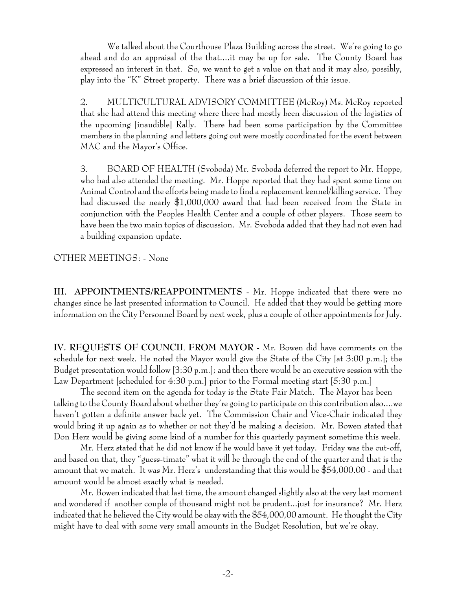We talked about the Courthouse Plaza Building across the street. We're going to go ahead and do an appraisal of the that....it may be up for sale. The County Board has expressed an interest in that. So, we want to get a value on that and it may also, possibly, play into the "K" Street property. There was a brief discussion of this issue.

2. MULTICULTURAL ADVISORY COMMITTEE (McRoy) Ms. McRoy reported that she had attend this meeting where there had mostly been discussion of the logistics of the upcoming [inaudible] Rally. There had been some participation by the Committee members in the planning and letters going out were mostly coordinated for the event between MAC and the Mayor's Office.

3. BOARD OF HEALTH (Svoboda) Mr. Svoboda deferred the report to Mr. Hoppe, who had also attended the meeting. Mr. Hoppe reported that they had spent some time on Animal Control and the efforts being made to find a replacement kennel/killing service. They had discussed the nearly \$1,000,000 award that had been received from the State in conjunction with the Peoples Health Center and a couple of other players. Those seem to have been the two main topics of discussion. Mr. Svoboda added that they had not even had a building expansion update.

## OTHER MEETINGS: - None

**III. APPOINTMENTS/REAPPOINTMENTS** - Mr. Hoppe indicated that there were no changes since he last presented information to Council. He added that they would be getting more information on the City Personnel Board by next week, plus a couple of other appointments for July.

**IV. REQUESTS OF COUNCIL FROM MAYOR -** Mr. Bowen did have comments on the schedule for next week. He noted the Mayor would give the State of the City [at 3:00 p.m.]; the Budget presentation would follow [3:30 p.m.]; and then there would be an executive session with the Law Department [scheduled for 4:30 p.m.] prior to the Formal meeting start [5:30 p.m.]

The second item on the agenda for today is the State Fair Match. The Mayor has been talking to the County Board about whether they're going to participate on this contribution also....we haven't gotten a definite answer back yet. The Commission Chair and Vice-Chair indicated they would bring it up again as to whether or not they'd be making a decision. Mr. Bowen stated that Don Herz would be giving some kind of a number for this quarterly payment sometime this week.

Mr. Herz stated that he did not know if he would have it yet today. Friday was the cut-off, and based on that, they "guess-timate" what it will be through the end of the quarter and that is the amount that we match. It was Mr. Herz's understanding that this would be \$54,000.00 - and that amount would be almost exactly what is needed.

Mr. Bowen indicated that last time, the amount changed slightly also at the very last moment and wondered if another couple of thousand might not be prudent...just for insurance? Mr. Herz indicated that he believed the City would be okay with the \$54,000,00 amount. He thought the City might have to deal with some very small amounts in the Budget Resolution, but we're okay.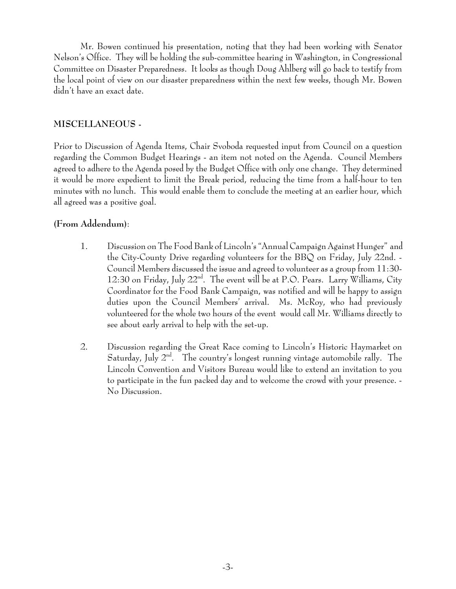Mr. Bowen continued his presentation, noting that they had been working with Senator Nelson's Office. They will be holding the sub-committee hearing in Washington, in Congressional Committee on Disaster Preparedness. It looks as though Doug Ahlberg will go back to testify from the local point of view on our disaster preparedness within the next few weeks, though Mr. Bowen didn't have an exact date.

# **MISCELLANEOUS -**

Prior to Discussion of Agenda Items, Chair Svoboda requested input from Council on a question regarding the Common Budget Hearings - an item not noted on the Agenda. Council Members agreed to adhere to the Agenda posed by the Budget Office with only one change. They determined it would be more expedient to limit the Break period, reducing the time from a half-hour to ten minutes with no lunch. This would enable them to conclude the meeting at an earlier hour, which all agreed was a positive goal.

# **(From Addendum)**:

- 1. Discussion on The Food Bank of Lincoln's "Annual Campaign Against Hunger" and the City-County Drive regarding volunteers for the BBQ on Friday, July 22nd. - Council Members discussed the issue and agreed to volunteer as a group from 11:30- 12:30 on Friday, July  $22^{\text{nd}}$ . The event will be at P.O. Pears. Larry Williams, City Coordinator for the Food Bank Campaign, was notified and will be happy to assign duties upon the Council Members' arrival. Ms. McRoy, who had previously volunteered for the whole two hours of the event would call Mr. Williams directly to see about early arrival to help with the set-up.
- 2. Discussion regarding the Great Race coming to Lincoln's Historic Haymarket on Saturday, July  $2<sup>nd</sup>$ . The country's longest running vintage automobile rally. The Lincoln Convention and Visitors Bureau would like to extend an invitation to you to participate in the fun packed day and to welcome the crowd with your presence. - No Discussion.